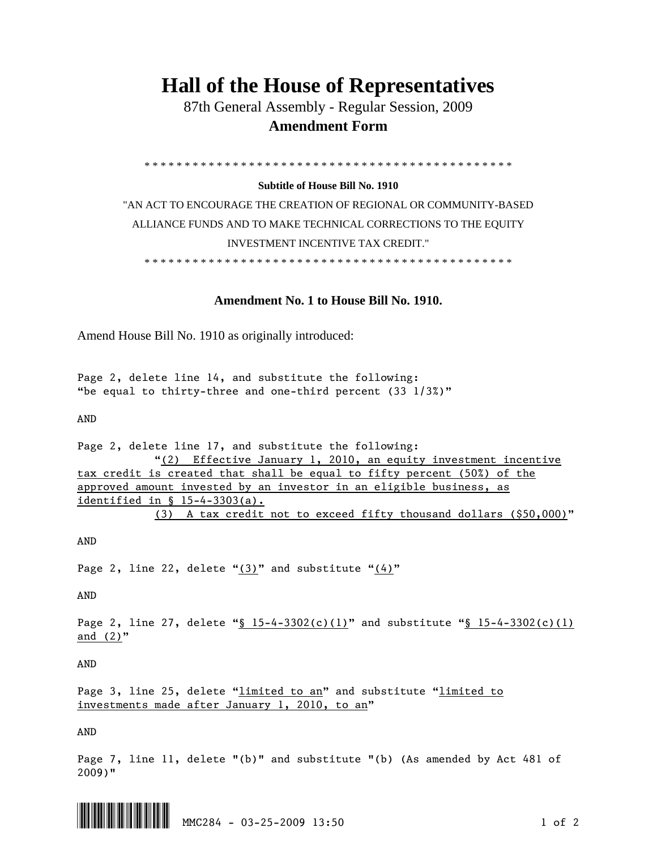## **Hall of the House of Representatives**

 87th General Assembly - Regular Session, 2009  **Amendment Form** 

\* \* \* \* \* \* \* \* \* \* \* \* \* \* \* \* \* \* \* \* \* \* \* \* \* \* \* \* \* \* \* \* \* \* \* \* \* \* \* \* \* \* \* \* \* \*

## **Subtitle of House Bill No. 1910**

"AN ACT TO ENCOURAGE THE CREATION OF REGIONAL OR COMMUNITY-BASED ALLIANCE FUNDS AND TO MAKE TECHNICAL CORRECTIONS TO THE EQUITY INVESTMENT INCENTIVE TAX CREDIT."

\* \* \* \* \* \* \* \* \* \* \* \* \* \* \* \* \* \* \* \* \* \* \* \* \* \* \* \* \* \* \* \* \* \* \* \* \* \* \* \* \* \* \* \* \* \*

## **Amendment No. 1 to House Bill No. 1910.**

Amend House Bill No. 1910 as originally introduced:

Page 2, delete line 14, and substitute the following: "be equal to thirty-three and one-third percent (33 1/3%)"

AND

Page 2, delete line 17, and substitute the following: "(2) Effective January 1, 2010, an equity investment incentive tax credit is created that shall be equal to fifty percent (50%) of the approved amount invested by an investor in an eligible business, as identified in § 15-4-3303(a). (3) A tax credit not to exceed fifty thousand dollars (\$50,000)"

AND

Page 2, line 22, delete " $(3)$ " and substitute " $(4)$ "

AND

Page 2, line 27, delete "§  $15-4-3302(c)(1)$ " and substitute "§  $15-4-3302(c)(1)$ and (2)"

AND

Page 3, line 25, delete "limited to an" and substitute "limited to investments made after January 1, 2010, to an"

AND

Page 7, line 11, delete "(b)" and substitute "(b) (As amended by Act 481 of 2009)"